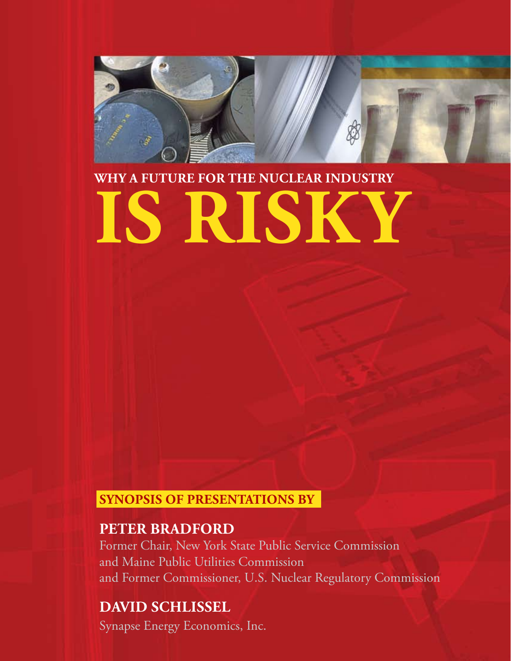

## **WHY A FUTURE FOR THE NUCLEAR INDUSTRY**

# **IS RISKY**

#### **SYNOPSIS OF PRESENTATIONS BY**

#### **Peter Bradford**

Former Chair, New York State Public Service Commission and Maine Public Utilities Commission and Former Commissioner, U.S. Nuclear Regulatory Commission

### **David Schlissel**

Synapse Energy Economics, Inc.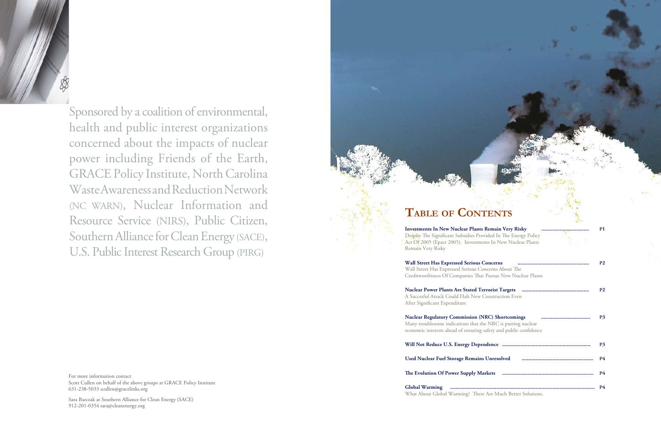

Sponsored by a coalition of environmental, health and public interest organizations concerned about the impacts of nuclear power including Friends of the Earth, GRACE Policy Institute, North Carolina Waste Awareness and Reduction Network (NC WARN), Nuclear Information and Resource Service (NIRS), Public Citizen, Southern Alliance for Clean Energy (SACE), U.S. Public Interest Research Group (PIRG)

**Investments In New Nuclear Plants R** Despite The Significant Subsidies Provi Act Of 2005 (Epact 2005), Investment Remain Very Risky

**Wall Street Has Expressed Serious Co** 

Wall Street Has Expressed Serious Con Creditworthiness Of Companies That

**Nuclear Power Plants Are Stated Terrorist Targets** A Succesful Attack Could Halt New Co

For more information contact Scott Cullen on behalf of the above groups at GRACE Policy Institute 631-238-5033 scullen@gracelinks.org

Sara Barczak at Southern Alliance for Clean Energy (SACE) 912-201-0354 sara@cleanenergy.org

## **Table of Contents**

**Global Warming ....................................................................................................... P4** What About Global Warming? There

| Remain Very Risky<br><mark></mark>                                                    | P1             |
|---------------------------------------------------------------------------------------|----------------|
| ided In The Energy Policy                                                             |                |
| ts In New Nuclear Plants                                                              |                |
| oncerns                                                                               | P <sub>2</sub> |
| icerns About The                                                                      |                |
| Pursue New Nuclear Plants                                                             |                |
| onstruction Even                                                                      | P <sub>2</sub> |
| <b>RC</b> ) Shortcomings<br><br>NRC is putting nuclear<br>afety and public confidence | <b>P3</b>      |
|                                                                                       | <b>P3</b>      |
|                                                                                       | <b>P4</b>      |
|                                                                                       | <b>P4</b>      |
|                                                                                       | <b>P4</b>      |
| Are Much Better Solutions                                                             |                |

After Significant Expenditure

**Nuclear Regulatory Commission (NR** Many troublesome indications that the economic interests ahead of ensuring sa

**Will Not Reduce U.S. Energy Dependence** 

**Used Nuclear Fuel Storage Remains Unresponding** 

**The Evolution Of Power Supply Mark**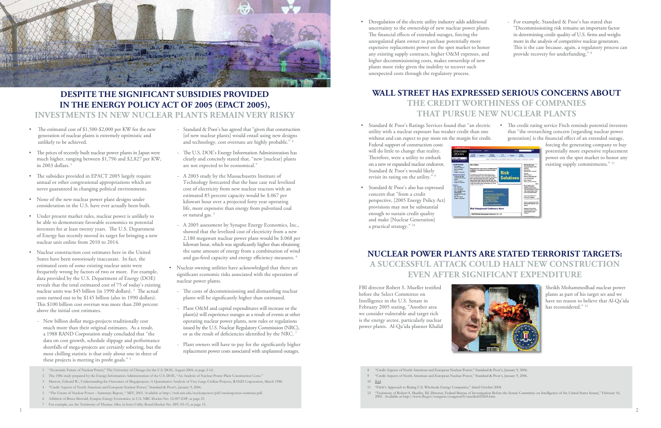FBI director Robert S. Mueller testified before the Select Committee on Intelligence in the U.S. Senate in February 2005 stating, "Another area we consider vulnerable and target rich is the energy sector, particularly nuclear power plants. Al-Qa'ida planner Khalid Sheikh Mohammedhad nuclear power plants as part of his target set and we have no reason to believe that Al-Qa'ida has reconsidered."<sup>12</sup>



<sup>22</sup> "Testimony of Robert S. Mueller, III, Director, Federal Bureau of Investigation Before the Senate Committee on Intelligence of the United States Senate," February 16, 2005. Available at http://www.fbi.gov/congress/con

- The estimated cost of \$1,500-\$2,000 per KW for the new generation of nuclear plants is extremely optimistic and unlikely to be achieved.
- The prices of recently built nuclear power plants in Japan were much higher, ranging between \$1,796 and \$2,827 per KW, in 2003 dollars.
- The subsidies provided in EPACT 2005 largely require annual or other congressional appropriations which are never guaranteed in changing political environments.
- None of the new nuclear power plant designs under consideration in the U.S. have ever actually been built.
- Under present market rules, nuclear power is unlikely to be able to demonstrate favorable economics to potential investors for at least twenty years. The U.S. Department of Energy has recently moved its target for bringing a new nuclear unit online from 2010 to 2014.
- Nuclear construction cost estimates here in the United States have been notoriously inaccurate. In fact, the estimated costs of some existing nuclear units were frequently wrong by factors of two or more. For example, data provided by the U.S. Department of Energy (DOE) reveals that the total estimated cost of 75 of today's existing nuclear units was \$45 billion (in 1990 dollars). <sup>2</sup> The actual costs turned out to be \$145 billion (also in 1990 dollars). This \$100 billion cost overrun was more than 200 percent above the initial cost estimates.
	- New billion dollar mega-projects traditionally cost much more than their original estimates. As a result, a 1988 RAND Corporation study concluded that "the data on cost growth, schedule slippage and performance shortfalls of mega-projects are certainly sobering, but the most chilling statistic is that only about one in three of these projects is meeting its profit goals." 3

- 2 The 1986 study prepared by the Energy Information Administration of the U.S. DOE, "An Analysis of Nuclear Power Plant Construction Costs."
- 3 Merrow, Edward W., Understanding the Outcomes of Megaprojects: A Quantitative Analysis of Very Large Civilian Projects, RAND Corporation, March 1988.
- 4 "Credit Aspects of North American and European Nuclear Power," Standard & Poor's, January 9, 2006.
- 5 "The Future of Nuclear Power Summary Report, " MIT, 2003. Available at http://web.mit.edu/nuclearpower/pdf/nuclearpower-summary.pdf.
- 6 Affidavit of Bruce Biewald, Synapse Energy Economics, in U.S. NRC Docket No. 52-007-ESP, at page 23.
- 7 For example, see the Testimony of Thomas Aller, in Iowa Utility Board Docket No. SPU-05-15, at page 15.  $\frac{1}{2}$
- Standard & Poor's has agreed that "given that construction [of new nuclear plants] would entail using new designs and technology, cost overruns are highly probable." 4
- The U.S. DOE's Energy Information Administration has clearly and concisely stated that, "new [nuclear] plants are not expected to be economical."
- A 2003 study by the Massachusetts Institute of Technology forecasted that the base case real levelized cost of electricity from new nuclear reactors with an estimated 85 percent capacity would be \$.067 per kilowatt hour over a projected forty year operating life, more expensive than energy from pulverized coal or natural gas.<sup>5</sup>
- A 2005 assessment by Synapse Energy Economics, Inc., showed that the levelized cost of electricity from a new 2,180 megawatt nuclear power plant would be \$.068 per kilowatt hour, which was significantly higher than obtaining the same amount of energy from a combination of wind and gas-fired capacity and energy efficiency measures. 6
- Nuclear owning utilities have acknowledged that there are significant economic risks associated with the operation of nuclear power plants.
	- The costs of decommissioning and dismantling nuclear plants will be significantly higher than estimated.
	- Plant O&M and capital expenditures will increase or the plant(s) will experience outages as a result of events at other operating nuclear power plants, new rules or regulations issued by the U.S. Nuclear Regulatory Commission (NRC), or as the result of deficiencies identified by the NRC. 7
	- Plant owners will have to pay for the significantly higher replacement power costs associated with unplanned outages.

• Standard & Poor's also has expressed concern that "from a credit perspective, [2005 Energy Policy Act] provisions may not be substantial enough to sustain credit quality and make [Nuclear Generation] a practical strategy." 10



forcing the generating company to buy potentially more expensive replacement power on the spot market to honor any existing supply commitments." 11



#### **DESPITE THE SIGNIFICANT SUBSIDIES PROVIDED IN THE ENERGY POLICY ACT OF 2005 (EPACT 2005), INVESTMENTS IN NEW NUCLEAR PLANTS REMAIN VERY RISKY**

• Deregulation of the electric utility industry adds additional uncertainty to the ownership of new nuclear power plants.

The financial effects of extended outages, forcing the unregulated plant owner to purchase potentially more

expensive replacement power on the spot market to honor any existing supply contracts, higher O&M expenses, and

higher decommissioning costs, makes ownership of new plants more risky given the inability to recover such unexpected costs through the regulatory process.

- For example, Standard & Poor's has stated that "Decommissioning risk remains an important factor in determining credit quality of U.S. firms and weighs more in the analysis of competitive nuclear generators. This is the case because, again, a regulatory process can provide recovery for underfunding." 8

#### • Standard & Poor's Ratings Services found that "an electric utility with a nuclear exposure has weaker credit than one without and can expect to pay more on the margin for credit.

Federal support of construction costs will do little to change that reality. Therefore, were a utility to embark on a new or expanded nuclear endeavor, Standard & Poor's would likely revisit its rating on the utility." 9

• The credit rating service Fitch reminds potential investors that "the overarching concern [regarding nuclear power generation] is the financial effect of an extended outage,

- 8 "Credit Aspects of North American and European Nuclear Power," Standard & Poor's, January 9, 2006.
- 9 "Credit Aspects of North American and European Nuclear Power," Standard & Poor's, January 9, 2006.
- 10 Ibid.
- 11 "Fitch's Approach to Rating U.S. Wholesale Energy Companies," dated October 2004.
- 

#### **WALL STREET HAS EXPRESSED SERIOUS CONCERNS ABOUT THE CREDIT WORTHINESS OF COMPANIES THAT PURSUE NEW NUCLEAR PLANTS**

#### **NUCLEAR POWER PLANTS ARE STATED TERRORIST TARGETS: A SUCCESSFUL ATTACK COULD HALT NEW CONSTRUCTION EVEN AFTER SIGNIFICANT EXPENDITURE**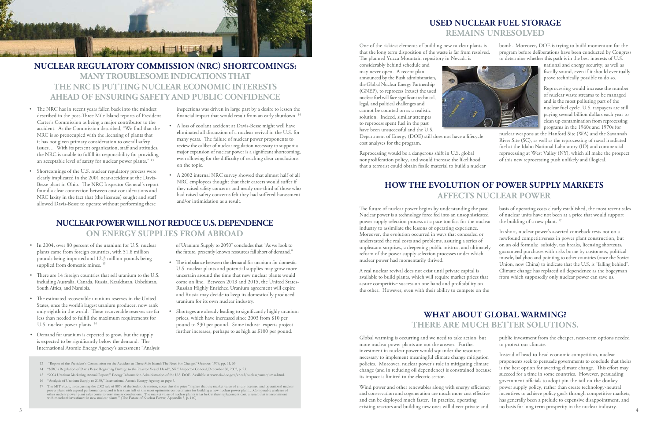One of the riskiest elements of building new nuclear plants is that the long term disposition of the waste is far from resolved. The planned Yucca Mountain repository in Nevada is

considerably behind schedule and may never open. A recent plan announced by the Bush administration, the Global Nuclear Energy Partnership (GNEP), to reprocess (reuse) the used nuclear fuel will face significant technical, legal, and political challenges and cannot be counted on as a realistic solution. Indeed, similar attempts to reprocess spent fuel in the past have been unsuccessful and the U.S.



Department of Energy (DOE) still does not have a lifecycle cost analyses for the program.

Reprocessing would be a dangerous shift in U.S. global nonproliferation policy, and would increase the likelihood that a terrorist could obtain fissile material to build a nuclear bomb. Moreover, DOE is trying to build momentum for the program before deliberations have been conducted by Congress to determine whether this path is in the best interests of U.S.

> national and energy security, as well as fiscally sound, even if it should eventually prove technically possible to do so.

Reprocessing would increase the number of nuclear waste streams to be managed and is the most polluting part of the nuclear fuel cycle. U.S. taxpayers are still paying several billion dollars each year to clean up contamination from reprocessing programs in the 1960s and 1970s for

nuclear weapons at the Hanford Site (WA) and the Savannah River Site (SC), as well as the reprocessing of naval irradiated fuel at the Idaho National Laboratory (ID) and commercial reprocessing at West Valley (NY), which all make the prospect of this new reprocessing push unlikely and illogical.

#### **USED NUCLEAR FUEL STORAGE REMAINS UNRESOLVED**

#### **NUCLEAR POWER WILL NOT REDUCE U.S. DEPENDENCE ON ENERGY SUPPLIES FROM ABROAD**

- In 2004, over 80 percent of the uranium for U.S. nuclear plants came from foreign countries, with 51.8 million pounds being imported and 12.3 million pounds being supplied from domestic mines.<sup>15</sup>
- There are 14 foreign countries that sell uranium to the U.S. including Australia, Canada, Russia, Kazakhstan, Uzbekistan, South Africa, and Namibia.
- The estimated recoverable uranium reserves in the United States, once the world's largest uranium producer, now rank only eighth in the world. These recoverable reserves are far less than needed to fulfill the maximum requirements for U.S. nuclear power plants.<sup>16</sup>
- Demand for uranium is expected to grow, but the supply is expected to be significantly below the demand. The International Atomic Energy Agency's assessment "Analysis

of Uranium Supply to 2050" concludes that "As we look to the future, presently known resources fall short of demand."

- The imbalance between the demand for uranium for domestic U.S. nuclear plants and potential supplies may grow more uncertain around the time that new nuclear plants would come on line. Between 2013 and 2015, the United States-Russian Highly Enriched Uranium agreement will expire and Russia may decide to keep its domestically produced uranium for its own nuclear industry.
- Shortages are already leading to significantly highly uranium prices, which have increased since 2003 from \$10 per pound to \$30 per pound. Some industr experts project further increases, perhaps to as high as  $$100$  per pound.
- 13 "Report of the President's Commission on the Accident at Three Mile Island: The Need for Change," October, 1979, pp. 51, 56.
- 14 "NRC's Regulation of Davis Besse Regarding Damage to the Reactor Vessel Head", NRC Inspector General, December 30, 2002, p. 23.
- 15 "2004 Uranium Marketing Annual Report," Energy Information Administration of the U.S. DOE. Available at www.eia.doe.gov/cneaf/nuclear/umar/umar.html.
- 16 "Analysis of Uranium Supply to 2050," International Atomic Energy Agency, at page 5.

| Demand for uranium is expected to grow, but the supply                                                                                                                                                                                                                                                                           | Global warming is occurring and we need to take action, but                                                                                                                                  | public investment from the cheaper, near-term options needed    |
|----------------------------------------------------------------------------------------------------------------------------------------------------------------------------------------------------------------------------------------------------------------------------------------------------------------------------------|----------------------------------------------------------------------------------------------------------------------------------------------------------------------------------------------|-----------------------------------------------------------------|
| is expected to be significantly below the demand. The                                                                                                                                                                                                                                                                            | more nuclear power plants are not the answer. Further                                                                                                                                        | to protect our climate.                                         |
| International Atomic Energy Agency's assessment "Analysis                                                                                                                                                                                                                                                                        | investment in nuclear power would squander the resources                                                                                                                                     | Instead of head-to-head economic competition, nuclear           |
| 13 "Report of the President's Commission on the Accident at Three Mile Island: The Need for Change," October, 1979, pp. 51, 56.                                                                                                                                                                                                  | necessary to implement meaningful climate change mitigation                                                                                                                                  | proponents seek to persuade governments to conclude that theirs |
| 14 "NRC's Regulation of Davis Besse Regarding Damage to the Reactor Vessel Head", NRC Inspector General, December 30, 2002, p. 23.                                                                                                                                                                                               | policies. Moreover, nuclear power's role in mitigating climate                                                                                                                               | is the best option for averting climate change. This effort may |
| 15 "2004 Uranium Marketing Annual Report," Energy Information Administration of the U.S. DOE. Available at www.eia.doe.gov/cneaf/nuclear/umar/umar.html.                                                                                                                                                                         | change (and in reducing oil dependence) is constrained because                                                                                                                               | succeed for a time in some countries. However, persuading       |
| 16 "Analysis of Uranium Supply to 2050," International Atomic Energy Agency, at page 5.                                                                                                                                                                                                                                          | its impact is limited to the electric sector.                                                                                                                                                | government officials to adopt pin-the-tail-on-the-donkey        |
| 17 The MIT Study, in discussing the 2002 sale of 88% of the Seabrook station, notes that the price "implies that the market value of a fully licensed and operational nuclear                                                                                                                                                    | Wind power and other renewables along with energy efficiency                                                                                                                                 | power supply policy, rather than create technology-neutral      |
| the matrix due to plant with a good performance record is less than half of the most optimistic cost estimates for building a new nuclear power plantComparable analyses of other nuclear power plant with a good performa<br>with merchant investment in new nuclear plants." (The Future of Nuclear Power, Appendix 5, p. 140) | and conservation and cogeneration are much more cost effective<br>and can be deployed much faster. In practice, operating<br>existing reactors and building new ones will divert private and |                                                                 |

#### **HOW THE EVOLUTION OF POWER SUPPLY MARKETS AFFECTS NUCLEAR POWER**

The future of nuclear power begins by understanding the past. Nuclear power is a technology force fed into an unsophisticated power supply selection process at a pace too fast for the nuclear industry to assimilate the lessons of operating experience. Moreover, the evolution occurred in ways that concealed or understated the real costs and problems, assuring a series of unpleasant surprises, a deepening public mistrust and ultimately reform of the power supply selection processes under which nuclear power had momentarily thrived. A real nuclear revival does not exist until private capital is available to build plants, which will require market prices that basis of operating costs clearly established, the most recent sales of nuclear units have not been at a price that would support the building of a new plant.<sup>17</sup> In short, nuclear power's asserted comeback rests not on a newfound competitiveness in power plant construction, but on an old formula: subsidy, tax breaks, licensing shortcuts, guaranteed purchases with risks borne by customers, political muscle, ballyhoo and pointing to other countries (once the Soviet Union, now China) to indicate that the U.S. is "falling behind". Climate change has replaced oil dependence as the bogeyman from which supposedly only nuclear power can save us.

assure competitive success on one hand and profitability on the other. However, even with their ability to compete on the

#### **WHAT ABOUT GLOBAL WARMING? THERE ARE MUCH BETTER SOLUTIONS.**



#### **NUCLEAR REGULATORY COMMISSION (NRC) SHORTCOMINGS: MANY TROUBLESOME INDICATIONS THAT THE NRC IS PUTTING NUCLEAR ECONOMIC INTERESTS AHEAD OF ENSURING SAFETY AND PUBLIC CONFIDENCE**

- The NRC has in recent years fallen back into the mindset described in the post-Three Mile Island reports of President Carter's Commission as being a major contributor to the accident. As the Commission described, "We find that the NRC is so preoccupied with the licensing of plants that it has not given primary consideration to overall safety issues… With its present organization, staff and attitudes, the NRC is unable to fulfill its responsibility for providing an acceptable level of safety for nuclear power plants." 13
- Shortcomings of the U.S. nuclear regulatory process were clearly implicated in the 2001 near-accident at the Davis-Besse plant in Ohio. The NRC Inspector General's report found a clear connection between cost considerations and NRC laxity in the fact that (the licensee) sought and staff allowed Davis-Besse to operate without performing these

inspections was driven in large part by a desire to lessen the financial impact that would result from an early shutdown. 14

- A loss of coolant accident at Davis-Besse might well have eliminated all discussion of a nuclear revival in the U.S. for many years. The failure of nuclear power proponents to review the caliber of nuclear regulation necessary to support a major expansion of nuclear power is a significant shortcoming, even allowing for the difficulty of reaching clear conclusions on the topic.
- A 2002 internal NRC survey showed that almost half of all NRC employees thought that their careers would suffer if they raised safety concerns and nearly one-third of those who had raised safety concerns felt they had suffered harassment and/or intimidation as a result.